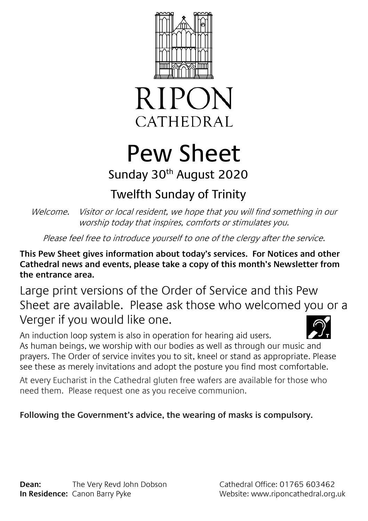



## Pew Sheet Sunday 30<sup>th</sup> August 2020

### Twelfth Sunday of Trinity

Welcome. Visitor or local resident, we hope that you will find something in our worship today that inspires, comforts or stimulates you.

Please feel free to introduce yourself to one of the clergy after the service.

**This Pew Sheet gives information about today's services. For Notices and other Cathedral news and events, please take a copy of this month's Newsletter from the entrance area.** 

Large print versions of the Order of Service and this Pew Sheet are available. Please ask those who welcomed you or a Verger if you would like one.

An induction loop system is also in operation for hearing aid users. As human beings, we worship with our bodies as well as through our music and prayers. The Order of service invites you to sit, kneel or stand as appropriate. Please see these as merely invitations and adopt the posture you find most comfortable.

At every Eucharist in the Cathedral gluten free wafers are available for those who need them. Please request one as you receive communion.

### **Following the Government's advice, the wearing of masks is compulsory.**